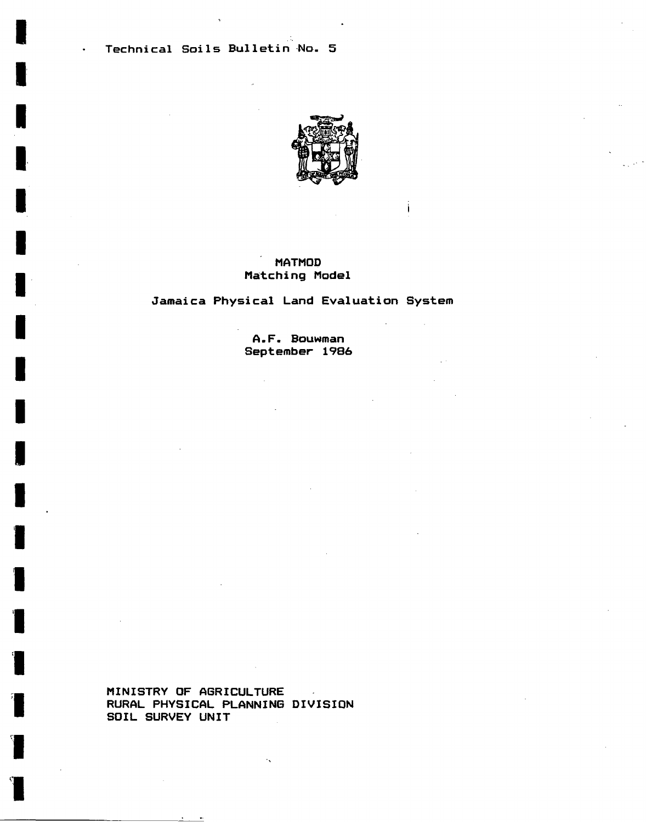**Technical Soils Bulletin No. 5** 

 $\ddot{\phantom{0}}$ 



# **MATMOD Matching Model**

ЦÚ.

# **Jamaica Physical Land Evaluation System**

**A.F. Bouwman September 1986** 

**MINISTRY OF ABRICULTURE**   $\sim$ **RURAL PHYSICAL PLANNING DIVISION SOIL SURVEY UNIT** 

1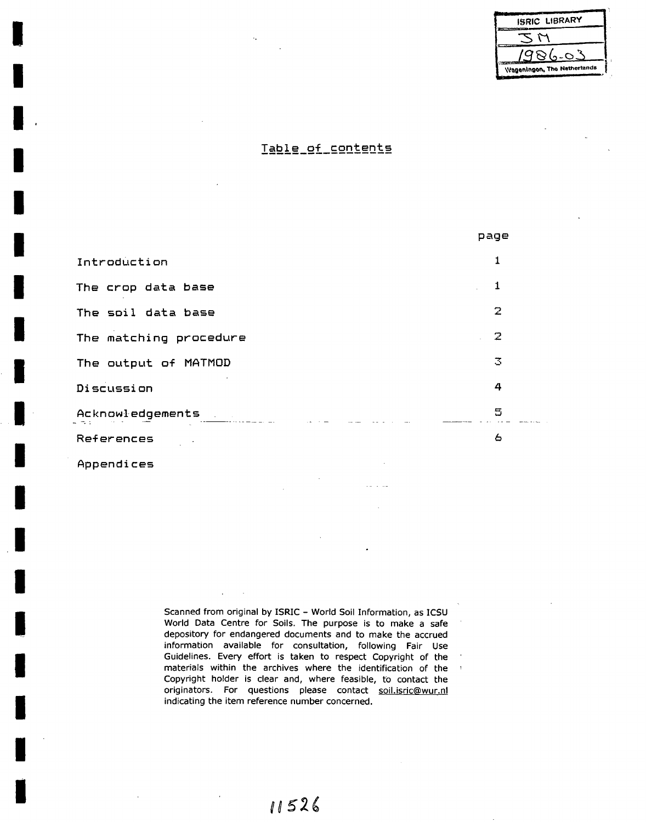| <b>ISRIC LIBRARY</b>        |  |
|-----------------------------|--|
|                             |  |
| 986-03                      |  |
| Wageningon, The Netherlands |  |

# Table of contents

pa  $\mathbf{1}$ Introduction  $\mathbf{1}$ The erop data base  $\overline{2}$ The soil data base  $\overline{2}$ The matching procedure  $\overline{3}$ The output of MATMOD 4 Discussion 5 Acknowledgements  $\epsilon$ References

Appendices

Scanned from original by ISRIC - World Soil Information, as ICSU World Data Centre for Soils. The purpose is to make a safe depository for endangered documents and to make the accrued information available for consultation, following Fair Use Guidelines. Every effort is taken to respect Copyright of the materials within the archives where the identification of the ' Copyright holder is clear and, where feasible, to contact the originators. For questions please contact soil.isric@wur,nl indicating the item reference number concerned.

# 11526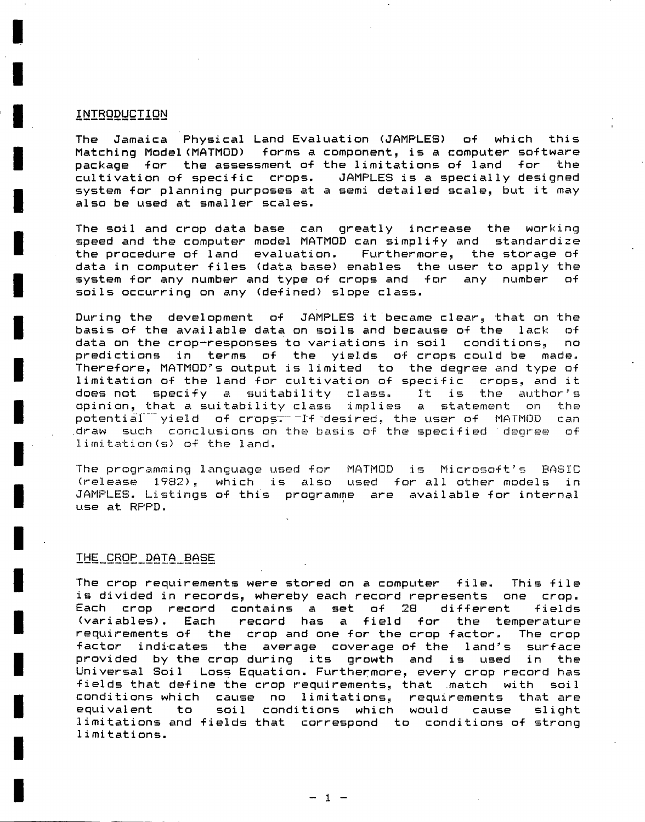#### **INTRODUCTION**

**The Jamaica Physical Land Evaluation (JAMPLES) of which this Matching Model(MATMOD) forms a component, is a computer software package for the assessment of the limitations of land for the cultivation of specific crops. JAMPLES is a specially designed system for planning purposes at a semi detailed scale, but it may also be used at smaller scales.** 

**The soi1 and erop data base can greatly increase the working speed and the computer model MATMOD can simplify and standardise the procedure of land evaluation. Furthermore, the storage of data in computer files (data base) enables the user to apply the system for any number and type of crops and for any number of soils occurring on any (defined) slope class.** 

**During the development of JAMPLES it'became clear, that on the basis of the available data on soils and because of the lack of data on the crop-responses to variations in soi1** conditions, **no predictions in terms of the yields of crops could be made. Therefore, MATMOD's output is limited to the** degree and type of **limitation of the land for cultivation of** specific crops, and it does **not** specify a suitability class. It **is** the author's opinion, that a suitability class implies a statement on the potential yield of crops<del>.</del> If desired, the user of MATMOD can draw such conclusions on the basis of the specified degree of Iimitation<s) of the land.

The programming language used for MATMOD is Microsoft's BASIC (release 1982),, which is also used for all other models in JAMPLES. Listings **of this programme are available for internal use at RPPD.** 

#### **It!i\_SBQP\_DATA\_BASE**

**The erop requirements were stored on a computer file. This file is divided in records, whereby each record represents one erop. Each erop record contains a set of 28 different fields (variables). Each record has a field for the temperature requirements of the erop and one for the erop factor. The erop factor indicates the average coverage of the land's surface provided by the erop during its growth and is used in the Universal Soi1 Loss Equation. Furthermore, every erop record has fields that define the erop requirements, that match with** soi**1 conditions which cause no limitations, requirements that are equivalent to soil conditions which would cause slight limitations and fields that correspond to conditions of strong 1imitations.** 

**- 1 -**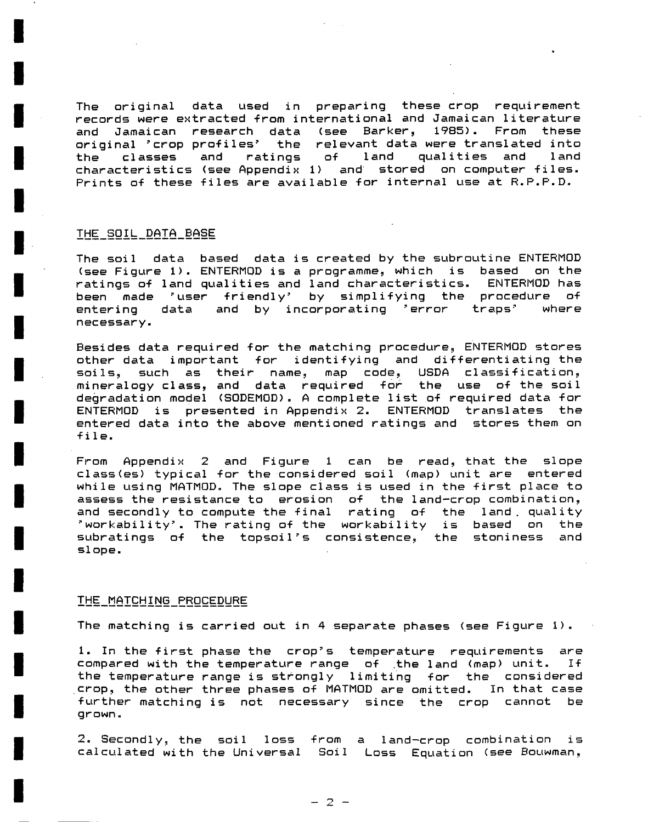The original data used in preparing these erop requirement records were extracted from international and Jamaican literature<br>and Jamaican research data (see Barker, 1985). From these and Jamaican research data (see Barker, original 'erop profiles' the relevant data were translated into the classes and ratings of land qualities and land characteristics (see Appendix 1) and stored on computer files. Prints of these files are available for internal use at R.P.P.D.

#### IHE\_SQIL\_DAÏA\_BASE

The soi1 data based data is created by the subroutine ENTERMOD (see Figure 1). ENTERMOD is a programme, which is based on the ratings of land qualities and land characteristics. ENTERMOD has been made 'user friendly' by simplifying the procedure of<br>entering data and by incorporating 'error traps' where entering data and by incorporating 'error traps' necessary.

Besides data required for the matching procedure, ENTERMOD stores other data important for identifying and differentiating the soiIs, such as their name, map code, USDA classification, mineralogy class, and data required for the use of the soi1 degradation model (SODEMOD). A complete list of required data for ENTERMOD is presented in Appendix 2. ENTERMOD translates the entered data into the above mentioned ratings and stores them on file.

From Appendix 2 and Figure 1 can be read, that the slope class(es) typical for the considered soi1 (map) unit are entered while using MATMOD. The slope class is used in the first place to assess the resistance to erosion of the land-crop combination, and secondly to compute the final rating of the land. quality \*workabi1ity'. The rating of the workability is based on the subratings of the topsoi1's consistence, the stoniness and slope.

#### IH£\_!ÜA2QHING\_PRgCEDyRE

The matching is carried out in 4 separate phases (see Figure 1).

1. In the first phase the crop's temperature requirements are compared with the temperature range of .the land (map) unit. If the temperature range is strongly limiting for the considered erop, the other three phases of MATMOD are omitted. In that case further matching is not necessary since the erop cannot be grown.

2. Secondly, the soi1 loss from a land-crop combination is calculated with the Universal Soi1 Loss Equation (see Bouwman,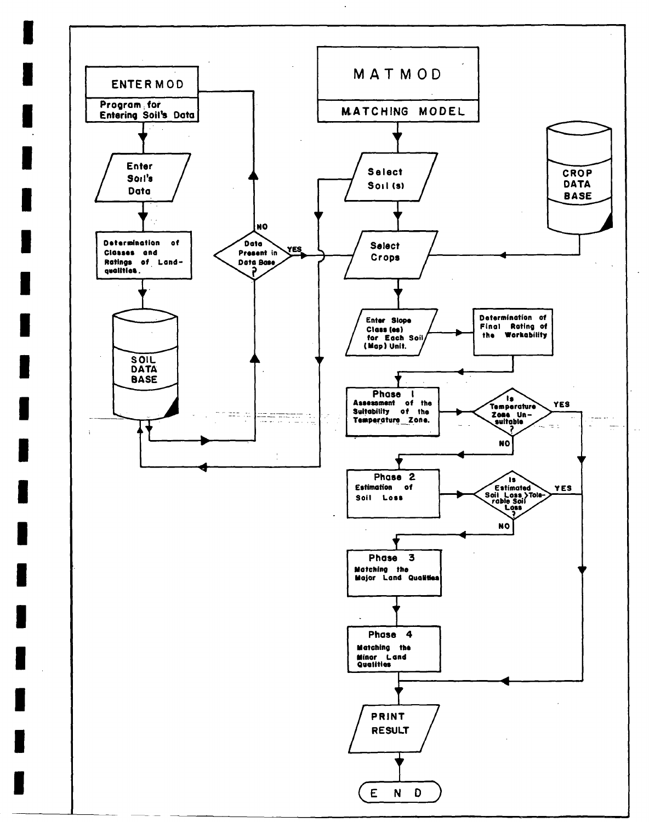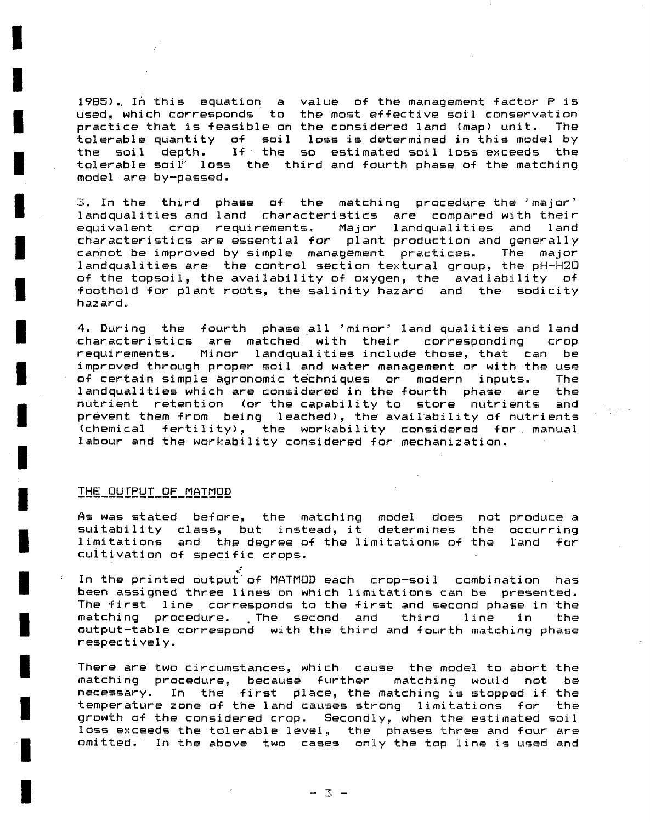1985).. In this equation a value of the management factor P is used, which corresponds to the most effective soi1 conservation practice that is feasible on the considered land (map) unit. The tolerable quantity of soi1 loss is determined in this model by the soil depth. If the so estimated soi1 loss exceeds the tolerable soil loss the third and fourth phase of the matching model are by-passed.

 $3.$  In the third phase of the matching procedure-the  $^{\circ}$ major  $^{\circ}$ landqualities and land characteristics are compared with their equivalent erop requirements. Major landqualities and land characteristics are essential for plant production and generally cannot be improved by simple management practices. The major landqualities are the control section textural group, the pH-H20 of the topsoil, the availability of oxygen, the availability of foothold for plant roots, the salinity hazard and the sodicity hazard.

4. During the fourth phase all 'minor' land qualities and land •characteristics are matched with their corresponding erop requirements. Minor landqualities include those, that can be improved through proper soil and water management or with the use of certain simple agronomic techniques or modern inputs. The landqualities which are considered in the fourth phase are the nutriënt retention (or the capability to store nutrients and prevent them from being leached), the availability of nutrients (chemical fertility), the workabi1ity considered for manual labour and the workability considered for mechanization.

#### THE\_gyTPLJT\_OF\_MAIMOD

As was stated before, the matching model does not produce a suitability class, but instead, it determines the occurring limitations and the degree of the limitations of the cultivation of specific crops.

In the printed output'of MATMOD each crop-soil combination has been assigned three lines on which limitations can be presented. The first line corresponds to the first and second phase in the matching procedure. The second and third line in the output-table correspond with the third and fourth matching phase respectively.

There are two circumstances, which cause the model to abort the matching procedure, because further matching would not be necessary. In the first place, the matching is stopped if the temperature zone of the land causes strong limitations for the growth of the considered erop. Secondly, when the estimated soil loss exceeds the tolerable level, the phases three and four are omitted. In the above two cases only the top line is used and

 $-3 -$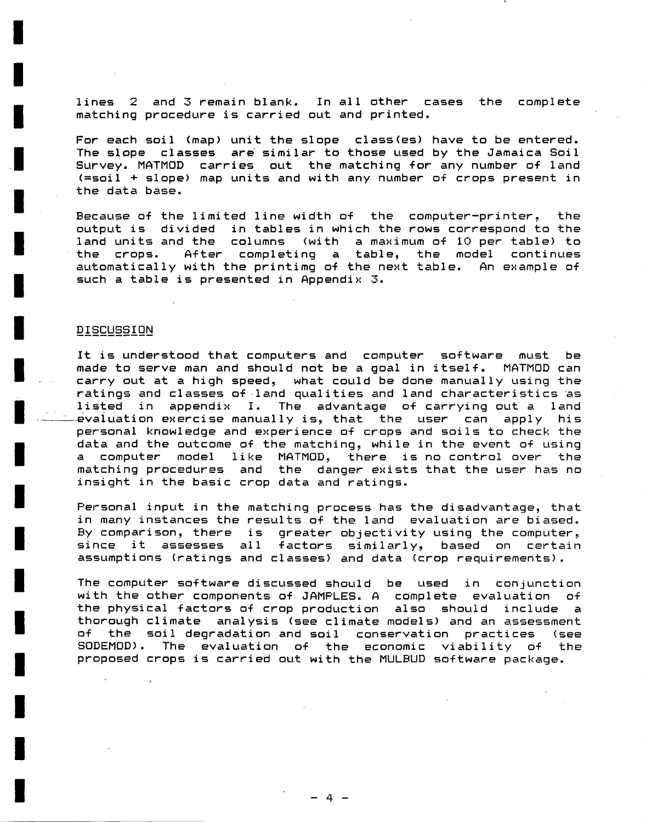lines 2 and 3 remain blank. In all other cases the complete matching procedure is carried out and printed.

For each soi1 (map) unit the slope class(es) have to be entered. The slope classes are similar to those used by the Jamaica Soil Survey. MATMOD carries out the matching for any number of land (=soil + slope) map units and with any number of crops present in the data base.

Because of the limited line width of the computer-printer, the output is divided in tables in which the rows correspond to the<br>land units and the columns (with a maximum of 10 per table) to (with a maximum of 10 per table) to the crops. After completing a table, the model continues automatically with the printimg of the next table. An example of such a table is presented in Appendix 3.

# DISCUSSION

It is understood that computers and computer software must be made to serve man and should not be a goal in itself. MATMOD can carry out at a high speed, what could be done manually using the ratings and classes of land qualities and land characteristics as listed in appendix I. The advantage of carrying out a land evaluation exercise manually is, that the user can apply his personal knowledge and experience of crops and soils to check the data and the outcome of the matching, while in the event of using a computer model like MATMOD, there is no control over the matching procedures and the danger exists that the user has no insight in the basic erop data and ratings.

Personal input in the matching process has the disadvantage, that in many instances the results of the land evaluation are biased. By comparison, there is greater objectivity using the computer, since it assesses all factors similarly, based on certain assumptions (ratings and classes) and data (erop requirements).

The computer software discussed should be used in conjunction with the other components of JAMPLES. A complete evaluation of the physical factors of erop production also should include a thorough climate analysis (see climate models) and an assessment of the soi1 degradation and soi1 conservation practices (see S0DEM0D). The evaluation of the economie viability of the proposed crops is carried out with the MULBUD software package.

- 4 -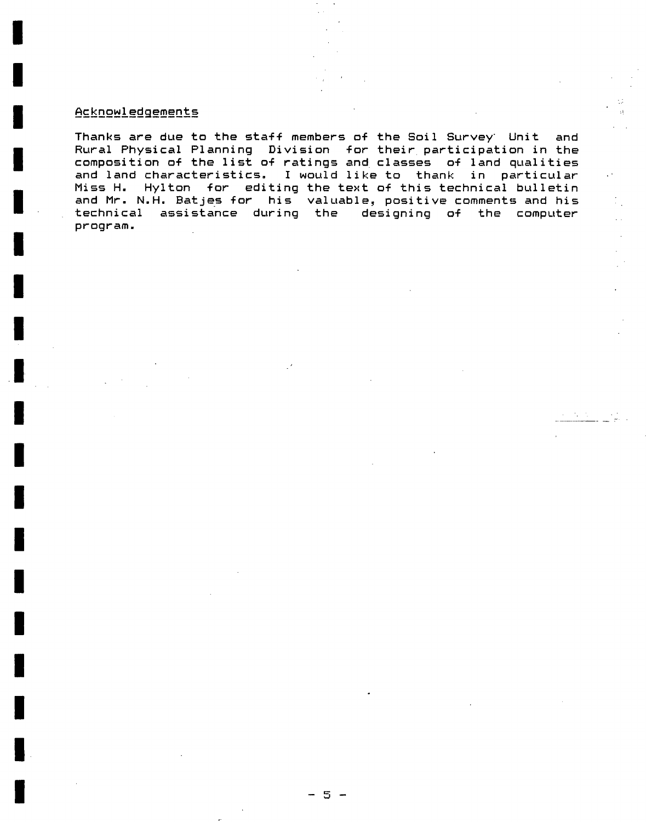# Acknowledgements

Thanks are due to the staff members of the Soil Survey<sup>.</sup> Unit and Rural Physical Planning Division for their participation in the composition of the list of ratings and classes of land qualities and land characteristics. I would like to thank in particular Miss H. Hylton for editing the text of this technical bulletin and Mr. N.H. Batjes for his valuable, positive comments and his technical assistance during the designing of the computer program.

 $\cdot$ 

 $\mathcal{O}(\mathcal{C})$ 

 $\sim$   $\sim$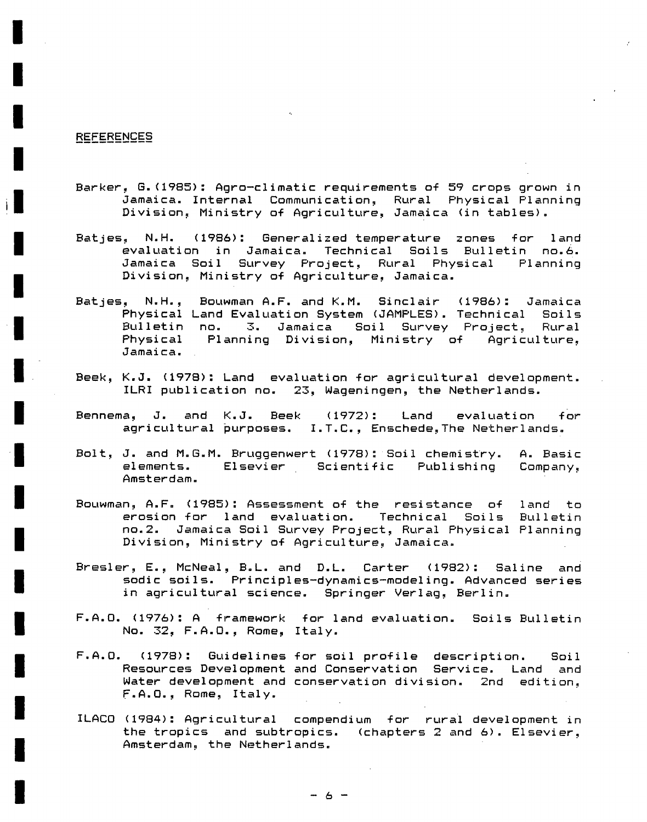#### REFERENCES

- Barker, G.(1985): Agro-climatic requirements of 59 crops grown in Jamaica. Internal Communication, Rural Physical Planning Division, Ministry of Agriculture, Jamaica (in tables).
- Batjes, N.H. (1986): Generalized temperature zones for land evaluation in Jamaica. Technical Soils Bulletin no.6. Jamaica Soi1 Survey Project, Rural Physical Planning Division, Ministry of Agriculture, Jamaica.
- Batjes, N.H., Bouwman A.F. and K.M. Sinclair (1986): Jamaica Physical Land Evaluation System (JAMPLES). Technical Soils Bulletin no. 3. Jamaica Soi1 Survey Project, Rural Physical Planning Division, Ministry of Agriculture, Jamaica.
- Beek, K.J. (1978): Land evaluation for agricultural development. ILRI publication no. 23, Wageningen, the Netherlands.
- Bennema, J. and K.J. Beek (1972): Land evaluation for agricultural purposes. I.T.C., Enschede, The Netherlands.
- Bolt, J. and M.G.M. Bruggenwert (1978): Soi1 chemistry. A. Basic elements. Elsevier Scientific Publishing Company, Amsterdam.
- Bouwman, A.F. (1985): Assessment of the resistance of land to erosion for land evaluation. Technical Soils Bulletin no.2. Jamaica Soi1 Survey Project, Rural Physical Planning Division, Ministry of Agriculture, Jamaica.
- Bresier, E., McNeal, B.L. and D.L. Carter (1982): Saline and sodic soils. Principles-dynamics-modeling. Advanced series in agricultural science. Springer Verlag, Berlin.
- F.A.O. (1976): A framework for land evaluation. Soils Bulletin No. 32, F.A.O., Rome, Italy.
- F.A.O. (1978): Guidelines for soi1 profile description. Soil Resources Development and Conservation Service. Land and Water development and conservation division. 2nd edition, F.A.O., Rome, Italy.
- ILACO (1984): Agricultural compendium for rural development in the tropics and subtropics. (chapters 2 and 6) . Elsevier, Amsterdam, the Netherlands.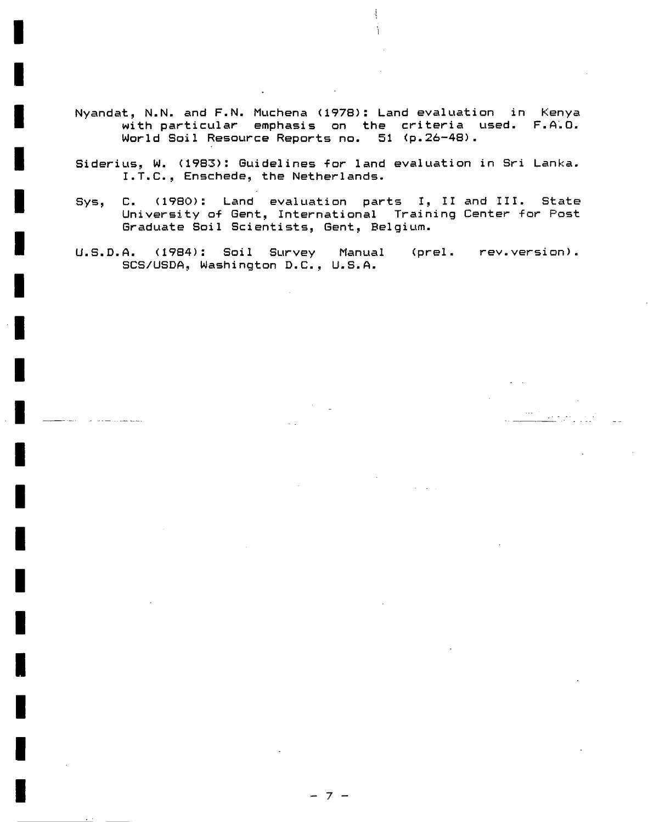- Nyandat, N.N. and F.N. Muchena <197B): Land evaluation in Kenya with particular emphasis on the criteria used. F.A.O. World Soi1 Resource Reports no. 51 (p.26-48).
- Siderius, W. (1983): Guidelines for land evaluation in Sri Lanka. I.T.C., Enschede, the Netherlands.
- Sys, C. (1980): Land evaluation parts I, II and III. State University of Gent, International Training Center for Post Graduate Soil Scientists, Gent, Belgium.
- U.S.D.A. (1984): Soil Survey Manual (prei. rev.version). SCS/USDA, Washington D.C., U.S.A.

- 7 -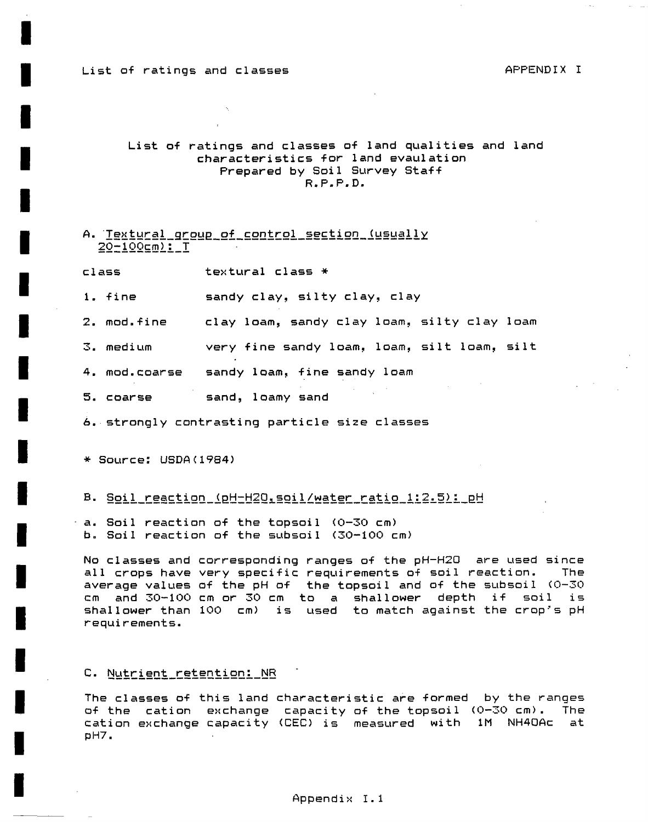### List of ratings and classes APPENDIX I

# List of ratings and classes of land qualities and land characteristics for land evaulation Prepared by Soi1 Survey Staff R.P.P.D.

# A. Textural group of control section (usually  $20-100$ cm $2.1$

class textural class \*

1. fine sandy clay, silty clay, clay

2. mod.fine clay loam, sandy clay loam, silty clay 1oam

3. medium very fine sandy loam, loam, silt loam, silt

4. mod.coarse sandy loam, fine sandy loam

5. coarse sand, 1oamy sand

6. strongly contrasting partiele size classes

\* Source: USDA(1984)

#### B. <u>Soil\_reaction\_(pH-H2O,soil/water\_ratio\_1:2.5):\_pH</u>

a. Soil reaction of the topsoi1 <0-30 cm) b. Soil reaction of the subsoi1 (30-100 cm)

No classes and corresponding ranges of the pH-H20 are used since all crops have very specific requirements of soil reaction. The average values of the pH of the topsoi1 and of the subsoi1 (0-30 cm and 30-100 cm or 30 cm to a shallower depth if soil is shallower than 100 cm) is used to match against the crop's pH requirements.

#### C. Nutrient retention: NR

The classes of this land characteristic are formed by the ranges of the cation exchange capacity of the topsoil (0-30 cm). The cation exchange capacity (CEO is measured with 1M NH40Ac at pH7.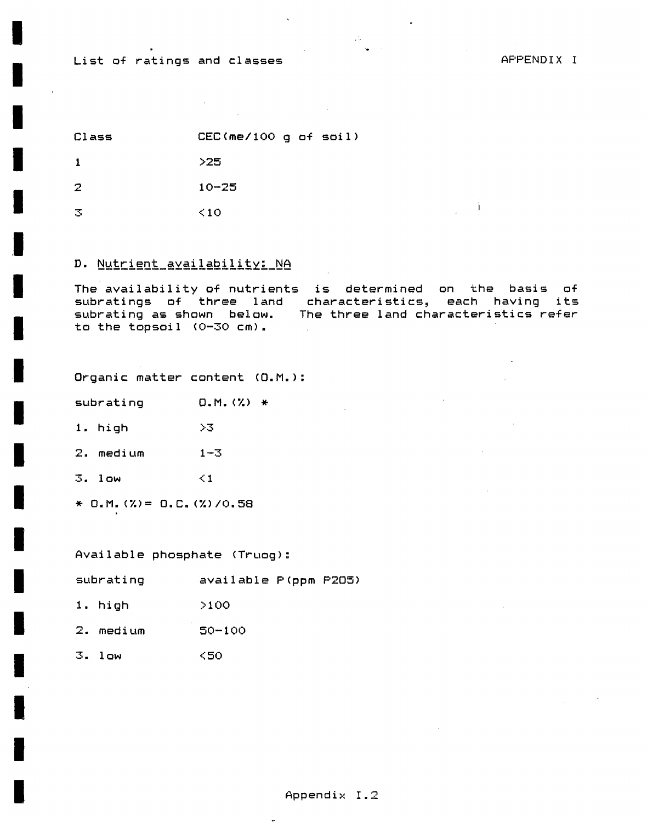# List of ratings and classes

j.

Class  $CEC$ (me/100 g of soil)

 $>25$  $\mathbf{1}$ 

 $\overline{2}$  $10 - 25$ 

 $\overline{3}$  $\leq 10$ 

# D. Nutrient availability: NA

The availability of nutrients is determined on the basis of subratings of three land characteristics, each having its subrating as shown below. The three land characteristics refer to the topsoil  $(0-30 cm)$ .  $\sim$ 

Organic matter content (O.M.):

subrating  $0.M. (%)$  \*

1. high  $>3$ 

2. medium  $1 - 3$ 

 $3.1$ ow  $\leq 1$ 

\* D.M. (%) = D.C. (%)/0.58

Available phosphate (Truog):

subrating available P(ppm P205)

1. high  $>100$ 

2. medium  $50 - 100$ 

 $3.1$ ow  $<$ 50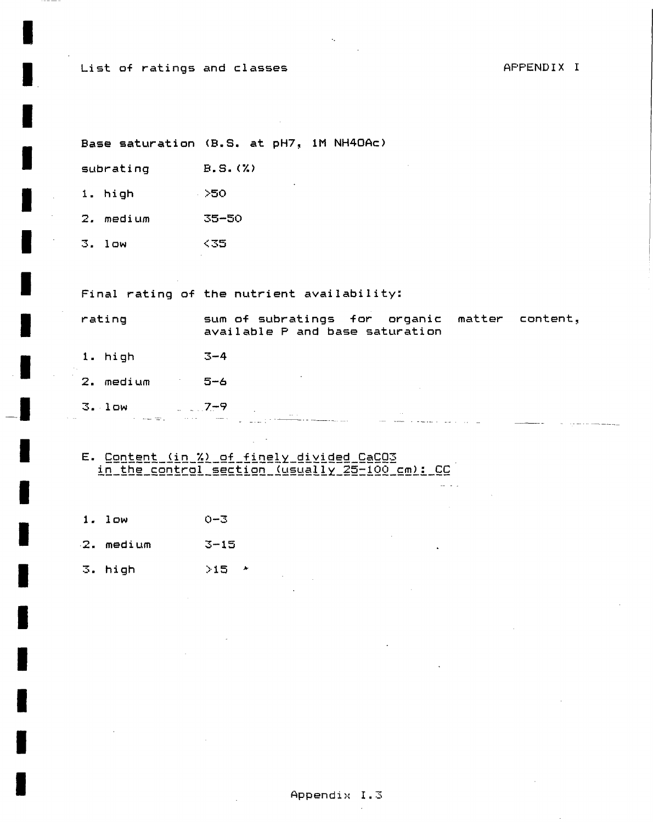List of ratings and classes

AFFENDIX I

Base saturation (B.S. at pH7, 1M NH4OAc)

subrating B.S. (%)

1. high = 250

2. medium 35-50

 $3.1$ ow - <35

Final rating of the nutrient availability:

rating sum of subratings for organic matter content, available P and base saturation 1. high  $3-4$  $2.$  medium  $5-6$  $7-9$  $3.1$ ow **Service** 

E. Content (in %) of finely divided CaCO3 in the control section (usually 25-100 cm): CC

- $1.1$   $0w$  $0 - 3$
- $2.$  medium  $3-15$
- 3. high  $>15$   $*$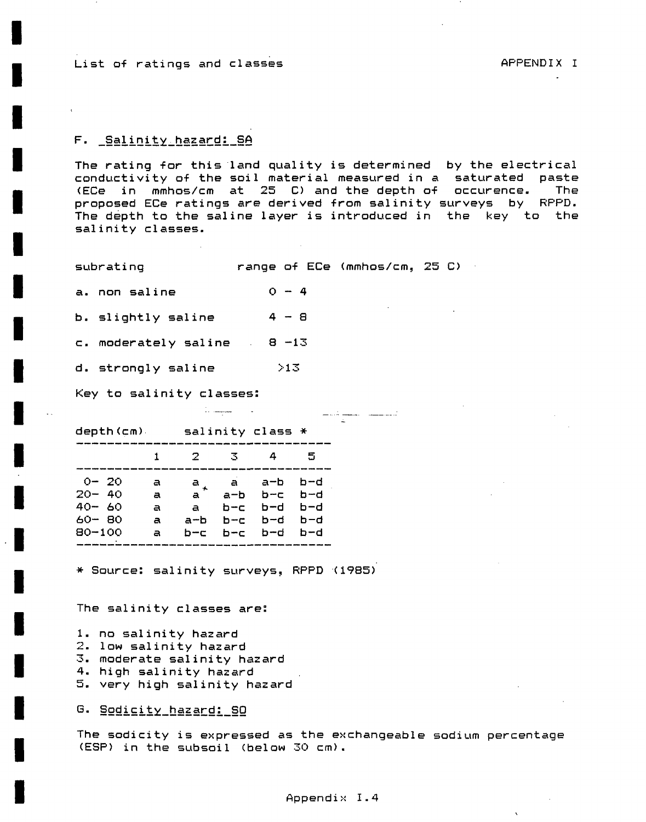List of ratings and classes APPENDIX I

 $\lambda$ 

# F. Salinity\_hazard: SA

The rating for this land quality is determined by the electrical conductivity of the soi1 material measured in a saturated paste (ECe in mmhos/cm at 25 C) and the depth of occurence. The proposed ECe ratings are derived from salinity surveys by RPPD. The depth to the saline layer is introduced in the key to the salinity classes.

subrating range of ECe (mmhos/cm, 25 O

a. non saline  $0 - 4$ 

b. slightly saline  $4 - 8$ 

 $c.$  moderately saline  $8 -13$ 

d. strongly saline >13

Key to salinity classes:

depth(cm) salinity class \*

|                                                            |                       | -2.                                        | -3                        |                                                            | 5   |  |
|------------------------------------------------------------|-----------------------|--------------------------------------------|---------------------------|------------------------------------------------------------|-----|--|
| $O = 20$<br>$20 - 40$<br>$40 - 60$<br>60- BO<br>$80 - 100$ | a<br>a<br>a<br>a<br>a | $\mathbf{a}^{\top}$<br>a<br>$a-b$<br>$n-r$ | a-b<br>$b - c$<br>$h = c$ | $a+ a a-b b-d$<br>b-c b-d<br>b-d b-d<br>b-d b-d<br>b-c b-d | b-d |  |

\* Source: salinity surveys, RPPD (1985)

in manager and the

The salinity classes are:

- 1. no salinity hazard
- 2. low salinity hazard
- 3. moderate salinity hazard
- 4. high salinity hazard
- 5. very high salinity hazard

G. Sodicity\_hazard: SO

The sodicity is expressed as the exchangeable sodium percentage (ESP) in the subsoil (below 30 cm).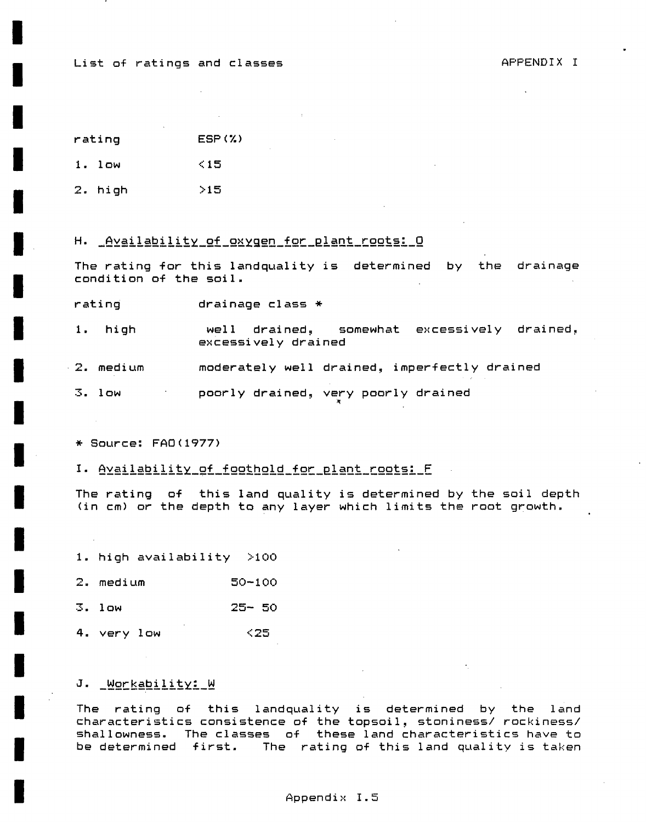List of ratings and classes APPENDIX I

 $ESP(X)$ rating

<15 1. low

>15 2. high

H. <u>Availability of oxygen for plant roots: 0</u>

The rating for this landquality is determined by the drainage condition of the soi1.

rating drainage class \*

1. high a well drained, somewhat excessively drained, excessively drained

- $-2$ . medium moderately well drained, imperfectly drained 2. medium moderately well drained, imperfectly drained
	- 3. low 3. low poorly drained, very poorly drained

excessively drained

\* Source: FAO (1977)

I. Availability\_of\_foothold\_for\_plant\_roots: F

The rating of this land quality is determined by the soi1 depth (in cm) or the depth to any 1ayer which limits the root growth»

1. high availability >100

2. medium 50-100

3. low 25- 50

4. very low <25

# J. \_ WOMKability: W

The rating of this landquality is determined by the land characteristies consistence of the topsoil, stoniness/ rockiness/ shallowness. The classes of these land characteristies have to be determined first. The rating of this land quality is taken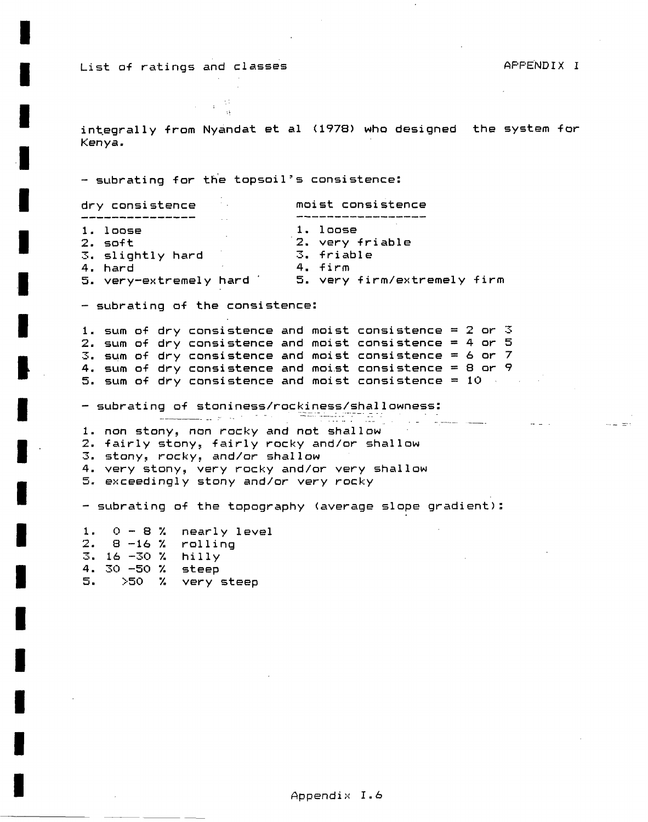List of ratings and classes and the control of the APPENDIX I

integrally from Nyandat et al (1978) who designed the system for Kenya.

- subrating for the topsoil's consistence:

| dry consistence        | <b>COLLA</b> | moist consistence           |
|------------------------|--------------|-----------------------------|
|                        |              |                             |
| 1. loose               |              | $1.$ loose                  |
| $2. s$ oft             |              | 2. very friable             |
| 3. slightly hard       |              | 3. friable                  |
| 4. hard                |              | 4. firm                     |
| 5. very-extremely hard |              | 5. very firm/extremely firm |

- subrating of the consistence:

1. sum of dry consistence and moist consistence = 2 or 3 2. sum of dry consistence and moist consistence = 4 or 5 3. sum of dry consistence and moist consistence = 6 or 7 4. sum of dry consistence and moist consistence = 8 or 9 5. sum of dry consistence and moist consistence = 10

- subrating of stoniness/rockiness/shallowness:

1. non stony, non rocky and not shallow

2. fairly stony, fairly rocky and/or shallow

3. stony, rocky, and/or shallow

4. very stony, very rocky and/or very shallow

5. exceedingly stony and/or very rocky

- subrating of the topography (average slope gradient):

1. 0 - S 7. nearly level 2. 8 -16 % rolling 3. 16 -30 7. hilly 4. 30 -50 7. steep 5. >50 7. very steep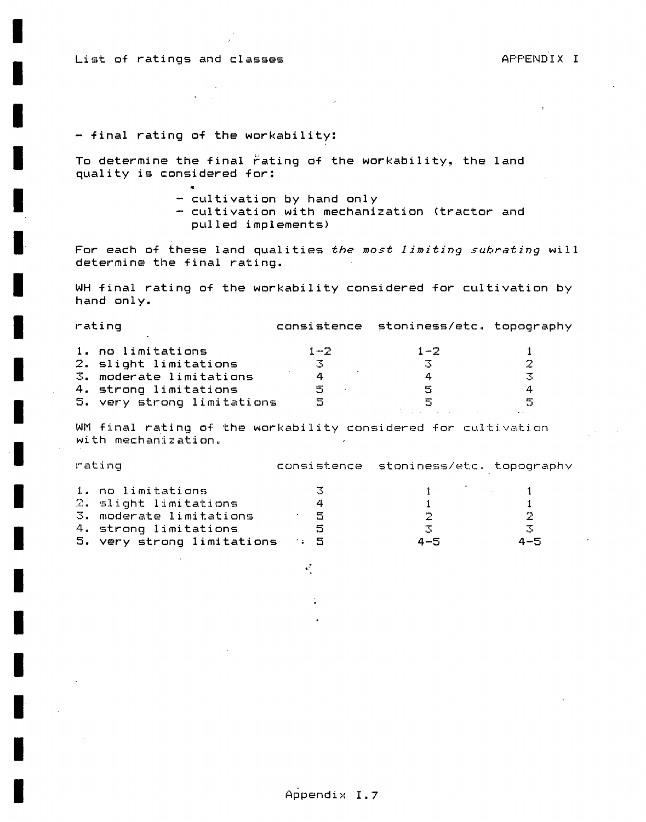List of ratings and classes and the set of the APPENDIX I

# **- final rating of the workability:**

«

To determine the final rating of the workability, the land **quality is considered for:** 

**- cultivation by hand only** 

**- cultivation with mechanization (tractor and pulled implements)** 

**For each of these land qualities the** most 1imiting suhratzng **wi**1**1 determine the final rating.** 

**WH final rating of the workability considered for cultivation by hand only.** 

| rating                     |         | consistence stoniness/etc. topography |   |
|----------------------------|---------|---------------------------------------|---|
| 1. no limitations          | $1 - 2$ | $1 - 2$                               |   |
| 2. slight limitations      | -3      |                                       | 2 |
| 3. moderate limitations    | 4       |                                       |   |
| 4. strong limitations      | 5       | 5                                     |   |
| 5. very strong limitations | 5       | 呂                                     | 독 |
|                            |         |                                       |   |

WM final rating of the workability considered for cultivation with mechanization.

| rating |                            |       | consistence stoniness/etc. topography |  |           |                         |  |
|--------|----------------------------|-------|---------------------------------------|--|-----------|-------------------------|--|
|        |                            |       |                                       |  |           |                         |  |
|        | 1. no limitations          |       | - 31                                  |  |           | $1 - 1 - 1 - 1 - 1 - 1$ |  |
|        | 2. slight limitations      |       | 4                                     |  |           |                         |  |
|        | 3. moderate limitations    |       | - 5                                   |  | <u>О.</u> | 2                       |  |
|        | 4. strong limitations      |       | 5                                     |  | -3        | -3.                     |  |
|        | 5. very strong limitations | . . 5 |                                       |  | 4-5       | $4 - 5$                 |  |

 $\mathcal{L}_{\mathcal{L}}$ 

**Appendix 1.7**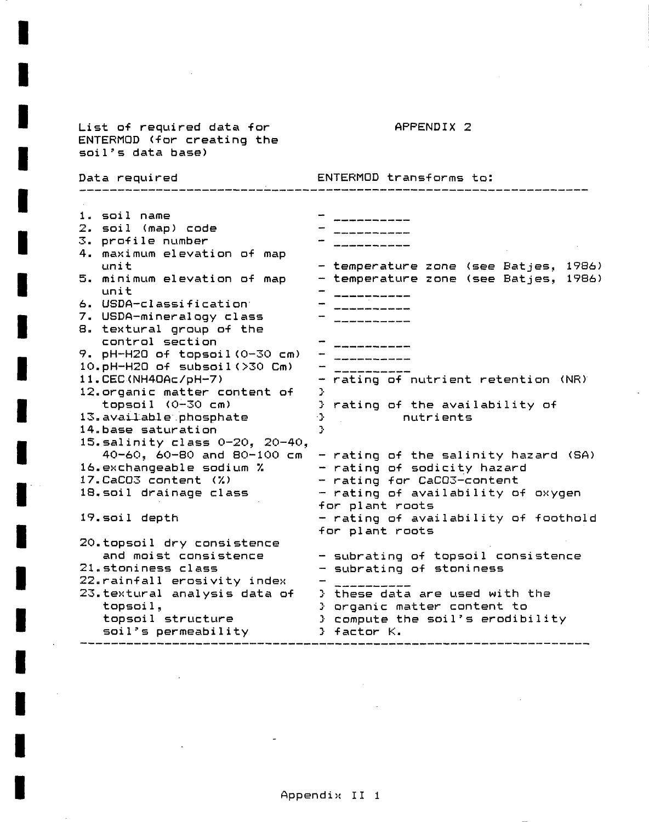| List of required data for<br>ENTERMOD (for creating the<br>soil's data base)                                                                                                                                                                                                                                                                                                                                                                                                                                                                                                                                                                                                                                                                                                 | APPENDIX 2                                                                                                                                                                                                                                                                                                                                                                                                                                                                                                                                          |  |  |  |  |  |  |
|------------------------------------------------------------------------------------------------------------------------------------------------------------------------------------------------------------------------------------------------------------------------------------------------------------------------------------------------------------------------------------------------------------------------------------------------------------------------------------------------------------------------------------------------------------------------------------------------------------------------------------------------------------------------------------------------------------------------------------------------------------------------------|-----------------------------------------------------------------------------------------------------------------------------------------------------------------------------------------------------------------------------------------------------------------------------------------------------------------------------------------------------------------------------------------------------------------------------------------------------------------------------------------------------------------------------------------------------|--|--|--|--|--|--|
| Data required                                                                                                                                                                                                                                                                                                                                                                                                                                                                                                                                                                                                                                                                                                                                                                | ENTERMOD transforms to:                                                                                                                                                                                                                                                                                                                                                                                                                                                                                                                             |  |  |  |  |  |  |
| 1. soil name<br>2. soil (map) code<br>3. profile number<br>4. maximum elevation of map<br>unit<br>5. minimum elevation of map<br>unit<br>6. USDA-classification<br>7. USDA-mineralogy class<br>8. textural group of the<br>control section<br>9. pH-H2O of topsoil(0-30 cm)<br>10.pH-H2O of subsoil(>30 Cm)<br>11. CEC(NH4OAc/pH-7)<br>12.organic matter content of<br>topsoil (0-30 cm)<br>13. available phosphate<br>14. base saturation<br>15. salinity class $0-20$ , $20-40$ ,<br>40-60, 60-80 and 80-100 cm<br>16.exchangeable sodium %<br>17.CaCO3 content (%)<br>18. soil drainage class<br>19. soil depth<br>20.topsoil dry consistence<br>and moist consistence<br>21.stoniness class<br>22. rainfall erosivity index<br>23. textural analysis data of<br>topsoil, | - temperature zone (see Batjes, 1986)<br>- temperature zone (see Batjes, 1986)<br>- rating of nutrient retention (NR)<br>У.<br>} rating of the availability of<br>nutrients<br>Ą.<br>Ą.<br>- rating of the salinity hazard (SA)<br>- rating of sodicity hazard<br>- rating for CaCO3-content<br>- rating of availability of oxygen<br>for plant roots<br>- rating of availability of foothold<br>for plant roots<br>- subrating of topsoil consistence<br>- subrating of stoniness<br>} these data are used with the<br>} organic matter content to |  |  |  |  |  |  |
| topsoil structure<br>soil's permeability                                                                                                                                                                                                                                                                                                                                                                                                                                                                                                                                                                                                                                                                                                                                     | } compute the soil's erodibility<br>} factor K.                                                                                                                                                                                                                                                                                                                                                                                                                                                                                                     |  |  |  |  |  |  |

 $\overline{\phantom{a}}$ 

÷,

 $\bar{\mathcal{A}}$ 

 $\epsilon$ 

 $\overline{a}$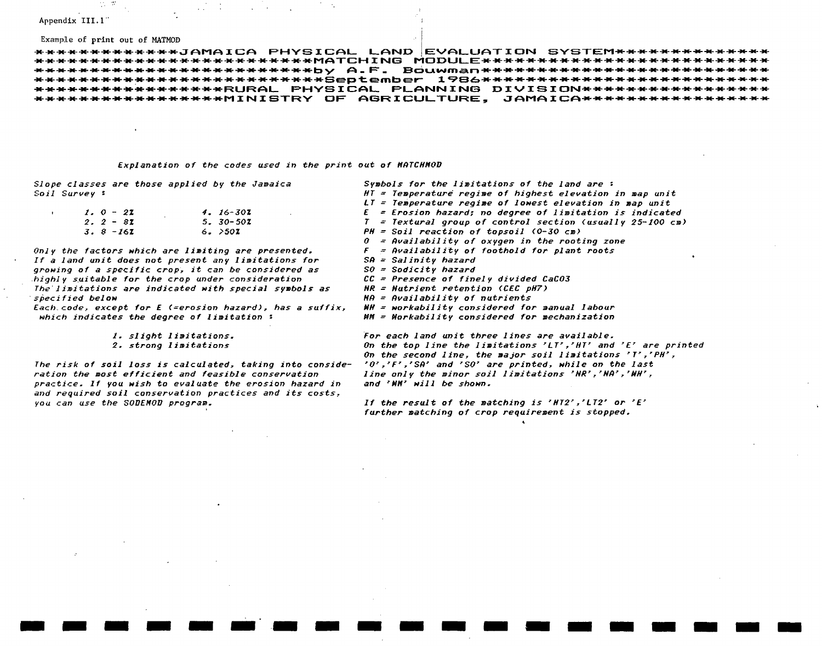#### Appendix III.1

 $\mathbf{r}$ 

#### Example of print out of MATMOD

\*\*\*\*\*\*\*\*\*\*\*\*\*JAMAICA PHYSICAL LAND EVALUATION SYSTEM\*\*\*\*\*\*\*\*\*\*\*\*\*\* \*\*\*\*\*\*\*\*\*\*\*\*\*\*\*\*\*\*RURAL PHYSICAL PLANNING DIVISION\*\*\*\*\*\*\*\*\*\*\*\*\*\*\*\*\*\* \*\*\*\*\*\*\*\*\*\*\*\*\*\*\*\*\*\*MINISTRY OF AGRICULTURE. JAMAICA\*\*\*\*\*\*\*\*\*\*\*\*\*\*\*\*\*\*

#### Explanation of the codes used in the print out of MATCHMOD

Slope classes are those applied by the Jamaica Soil Survey:

| $1.0 - 27$        | 4. 16-301    |
|-------------------|--------------|
| $2.2 - 82$        | $5.30 - 502$ |
| 3. 8 -16 <b>I</b> | 6. >501      |

Only the factors which are limiting are presented. If a land unit does not present any limitations for growing of a specific crop, it can be considered as highly suitable for the crop under consideration The limitations are indicated with special symbols as specified below

Each code, except for E (=erosion hazard), has a suffix, which indicates the degree of limitation:

1. slight limitations.

#### 2. strong limitations

The risk of soil loss is calculated, taking into consideration the most efficient and feasible conservation practice. If you wish to evaluate the erosion hazard in and required soil conservation practices and its costs, you can use the SODEMOD program.

Symbols for the limitations of the land are:  $HT = Temperature$  reqime of highest elevation in map unit LT = Temperature regime of lowest elevation in map unit  $E = E$ rosion hazard; no degree of limitation is indicated  $T = Textural$  group of control section (usually 25-100 cm)  $PH = Soil$  reaction of topsoil (0-30 cm)  $\theta$  = Availability of oxygen in the rooting zone  $F =$  Availability of foothold for plant roots  $SA = Salinity$  hazard  $S0 = Sodicity$  hazard  $CC$  = Presence of finely divided  $CaCO3$  $NR = Nature$  retention (CEC  $pH7$ )  $\mathsf{N}\mathsf{A}$  = Availability of nutrients  $HH = workability considered for manual labour$  $MH = Northability considered for mechanismization$ 

For each land unit three lines are available. On the top line the limitations 'LT','HT' and 'E' are printed On the second line, the major soil limitations 'T', 'PH', '0','F','SA' and 'SO' are printed, while on the last line only the minor soil limitations 'NR', 'NA', 'NH', and 'NH' will be shown.

If the result of the matching is 'HT2','LT2' or 'E' further matching of crop requirement is stopped.